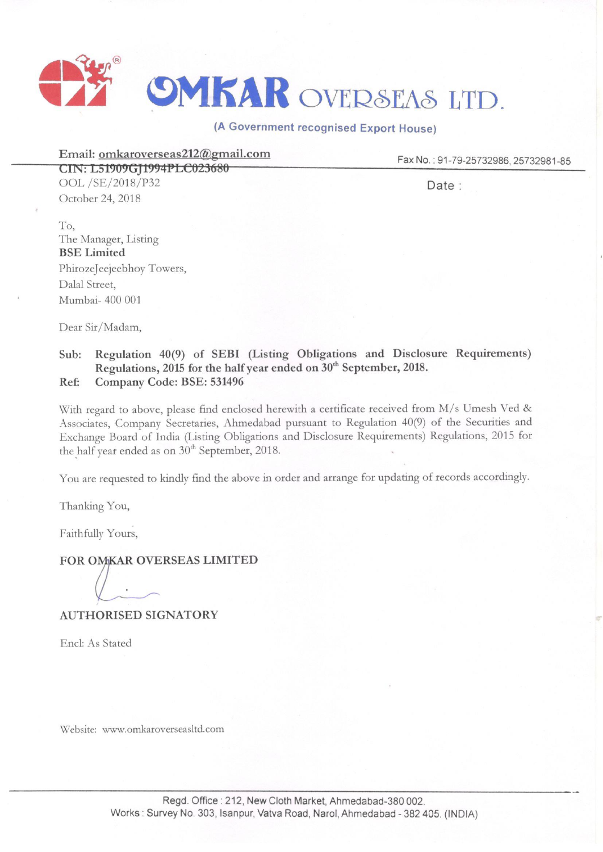

(A Government recognised Export House)

**Email: omkaroverseas212@gmail.com** 

Fax **No. :** 91-79-25732986, 25732981-85

**LIN: L51909GJt994flLC623686**  OOL /SE/2018/P32 October 24, 2018

Date :

To, The Manager, Listing **BSE Limited**  PhirozeJeejeebhoy Towers, Dalal Street, Mumbai- 400 001

Dear Sir/Madam,

## **Sub: Regulation 40(9) of SEBI (Listing Obligations and Disclosure Requirements) Regulations, 2015 for the half year ended on 30th September, 2018. Ref: Company Code: BSE: 531496**

With regard to above, please find enclosed herewith a certificate received from M/s Umesh Ved & Associates, Company Secretaries, Ahmedabad pursuant to Regulation 40(9) of the Securities and Exchange Board of India (Listing Obligations and Disclosure Requirements) Regulations, 2015 for the half year ended as on  $30<sup>th</sup>$  September, 2018.

You are requested to kindly find the above in order and arrange for updating of records accordingly.

Thanking You,

Faithfully Yours,

## **FOR OMKAR OVERSEAS LIMITED**

**AUTHORISED SIGNATORY** 

Encl: As Stated

\'v'ebsite: www.omkaroverseasltd.com